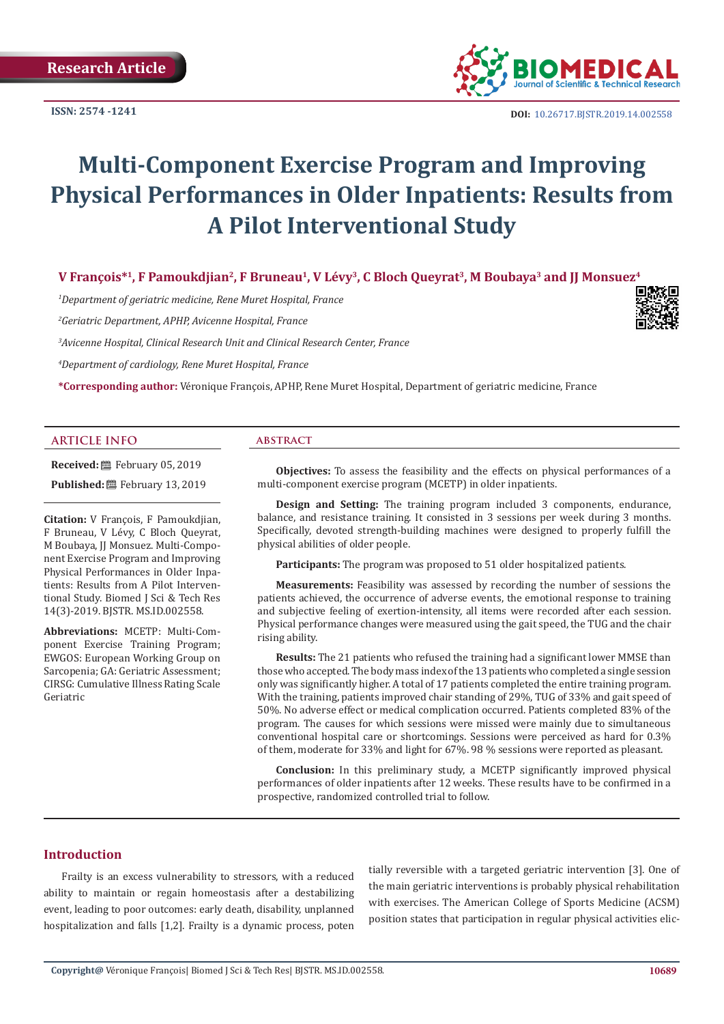

**DOI:** [10.26717.BJSTR.2019.14.0025](http://dx.doi.org/10.26717/BJSTR.2019.14.002558)58

# **Multi-Component Exercise Program and Improving Physical Performances in Older Inpatients: Results from A Pilot Interventional Study**

V François<sup>\*1</sup>, F Pamoukdjian<sup>2</sup>, F Bruneau<sup>1</sup>, V Lévy<sup>3</sup>, C Bloch Queyrat<sup>3</sup>, M Boubaya<sup>3</sup> and JJ Monsuez<sup>4</sup>

*1 Department of geriatric medicine, Rene Muret Hospital, France*

*2 Geriatric Department, APHP, Avicenne Hospital, France*

*3 Avicenne Hospital, Clinical Research Unit and Clinical Research Center, France* 

*4 Department of cardiology, Rene Muret Hospital, France* 

**\*Corresponding author:** Véronique François, APHP, Rene Muret Hospital, Department of geriatric medicine, France

#### **ARTICLE INFO abstract**

**Received:** February 05, 2019 Published: **■**February 13, 2019

**Citation:** V François, F Pamoukdjian, F Bruneau, V Lévy, C Bloch Queyrat, M Boubaya, JJ Monsuez. Multi-Component Exercise Program and Improving Physical Performances in Older Inpatients: Results from A Pilot Interventional Study. Biomed J Sci & Tech Res 14(3)-2019. BJSTR. MS.ID.002558.

**Abbreviations:** MCETP: Multi-Component Exercise Training Program; EWGOS: European Working Group on Sarcopenia; GA: Geriatric Assessment; CIRSG: Cumulative Illness Rating Scale Geriatric

**Objectives:** To assess the feasibility and the effects on physical performances of a multi-component exercise program (MCETP) in older inpatients.

**Design and Setting:** The training program included 3 components, endurance, balance, and resistance training. It consisted in 3 sessions per week during 3 months. Specifically, devoted strength-building machines were designed to properly fulfill the physical abilities of older people.

**Participants:** The program was proposed to 51 older hospitalized patients.

**Measurements:** Feasibility was assessed by recording the number of sessions the patients achieved, the occurrence of adverse events, the emotional response to training and subjective feeling of exertion-intensity, all items were recorded after each session. Physical performance changes were measured using the gait speed, the TUG and the chair rising ability.

**Results:** The 21 patients who refused the training had a significant lower MMSE than those who accepted. The body mass index of the 13 patients who completed a single session only was significantly higher. A total of 17 patients completed the entire training program. With the training, patients improved chair standing of 29%, TUG of 33% and gait speed of 50%. No adverse effect or medical complication occurred. Patients completed 83% of the program. The causes for which sessions were missed were mainly due to simultaneous conventional hospital care or shortcomings. Sessions were perceived as hard for 0.3% of them, moderate for 33% and light for 67%. 98 % sessions were reported as pleasant.

**Conclusion:** In this preliminary study, a MCETP significantly improved physical performances of older inpatients after 12 weeks. These results have to be confirmed in a prospective, randomized controlled trial to follow.

# **Introduction**

Frailty is an excess vulnerability to stressors, with a reduced ability to maintain or regain homeostasis after a destabilizing event, leading to poor outcomes: early death, disability, unplanned hospitalization and falls [1,2]. Frailty is a dynamic process, poten

tially reversible with a targeted geriatric intervention [3]. One of the main geriatric interventions is probably physical rehabilitation with exercises. The American College of Sports Medicine (ACSM) position states that participation in regular physical activities elic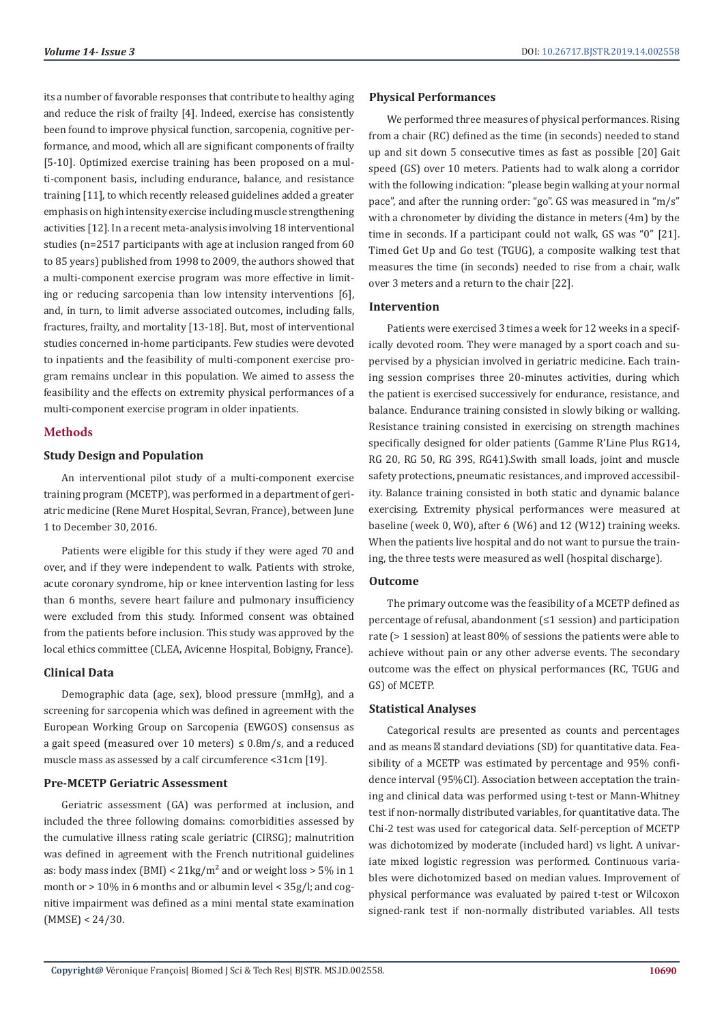its a number of favorable responses that contribute to healthy aging and reduce the risk of frailty [4]. Indeed, exercise has consistently been found to improve physical function, sarcopenia, cognitive performance, and mood, which all are significant components of frailty [5-10]. Optimized exercise training has been proposed on a multi-component basis, including endurance, balance, and resistance training [11], to which recently released guidelines added a greater emphasis on high intensity exercise including muscle strengthening activities [12]. In a recent meta-analysis involving 18 interventional studies (n=2517 participants with age at inclusion ranged from 60 to 85 years) published from 1998 to 2009, the authors showed that a multi-component exercise program was more effective in limiting or reducing sarcopenia than low intensity interventions [6], and, in turn, to limit adverse associated outcomes, including falls, fractures, frailty, and mortality [13-18]. But, most of interventional studies concerned in-home participants. Few studies were devoted to inpatients and the feasibility of multi-component exercise program remains unclear in this population. We aimed to assess the feasibility and the effects on extremity physical performances of a multi-component exercise program in older inpatients.

# **Methods**

#### **Study Design and Population**

An interventional pilot study of a multi-component exercise training program (MCETP), was performed in a department of geriatric medicine (Rene Muret Hospital, Sevran, France), between June 1 to December 30, 2016.

Patients were eligible for this study if they were aged 70 and over, and if they were independent to walk. Patients with stroke, acute coronary syndrome, hip or knee intervention lasting for less than 6 months, severe heart failure and pulmonary insufficiency were excluded from this study. Informed consent was obtained from the patients before inclusion. This study was approved by the local ethics committee (CLEA, Avicenne Hospital, Bobigny, France).

# **Clinical Data**

Demographic data (age, sex), blood pressure (mmHg), and a screening for sarcopenia which was defined in agreement with the European Working Group on Sarcopenia (EWGOS) consensus as a gait speed (measured over 10 meters)  $\leq$  0.8m/s, and a reduced muscle mass as assessed by a calf circumference <31cm [19].

# **Pre-MCETP Geriatric Assessment**

Geriatric assessment (GA) was performed at inclusion, and included the three following domains: comorbidities assessed by the cumulative illness rating scale geriatric (CIRSG); malnutrition was defined in agreement with the French nutritional guidelines as: body mass index (BMI) <  $21\text{kg/m}^2$  and or weight loss > 5% in 1 month or > 10% in 6 months and or albumin level < 35g/l; and cognitive impairment was defined as a mini mental state examination (MMSE) < 24/30.

#### **Physical Performances**

We performed three measures of physical performances. Rising from a chair (RC) defined as the time (in seconds) needed to stand up and sit down 5 consecutive times as fast as possible [20] Gait speed (GS) over 10 meters. Patients had to walk along a corridor with the following indication: "please begin walking at your normal pace", and after the running order: "go". GS was measured in "m/s" with a chronometer by dividing the distance in meters (4m) by the time in seconds. If a participant could not walk, GS was "0" [21]. Timed Get Up and Go test (TGUG), a composite walking test that measures the time (in seconds) needed to rise from a chair, walk over 3 meters and a return to the chair [22].

#### **Intervention**

Patients were exercised 3 times a week for 12 weeks in a specifically devoted room. They were managed by a sport coach and supervised by a physician involved in geriatric medicine. Each training session comprises three 20-minutes activities, during which the patient is exercised successively for endurance, resistance, and balance. Endurance training consisted in slowly biking or walking. Resistance training consisted in exercising on strength machines specifically designed for older patients (Gamme R'Line Plus RG14, RG 20, RG 50, RG 39S, RG41).Swith small loads, joint and muscle safety protections, pneumatic resistances, and improved accessibility. Balance training consisted in both static and dynamic balance exercising. Extremity physical performances were measured at baseline (week 0, W0), after 6 (W6) and 12 (W12) training weeks. When the patients live hospital and do not want to pursue the training, the three tests were measured as well (hospital discharge).

# **Outcome**

The primary outcome was the feasibility of a MCETP defined as percentage of refusal, abandonment (≤1 session) and participation rate (> 1 session) at least 80% of sessions the patients were able to achieve without pain or any other adverse events. The secondary outcome was the effect on physical performances (RC, TGUG and GS) of MCETP.

#### **Statistical Analyses**

Categorical results are presented as counts and percentages and as means standard deviations (SD) for quantitative data. Feasibility of a MCETP was estimated by percentage and 95% confidence interval (95%CI). Association between acceptation the training and clinical data was performed using t-test or Mann-Whitney test if non-normally distributed variables, for quantitative data. The Chi-2 test was used for categorical data. Self-perception of MCETP was dichotomized by moderate (included hard) vs light. A univariate mixed logistic regression was performed. Continuous variables were dichotomized based on median values. Improvement of physical performance was evaluated by paired t-test or Wilcoxon signed-rank test if non-normally distributed variables. All tests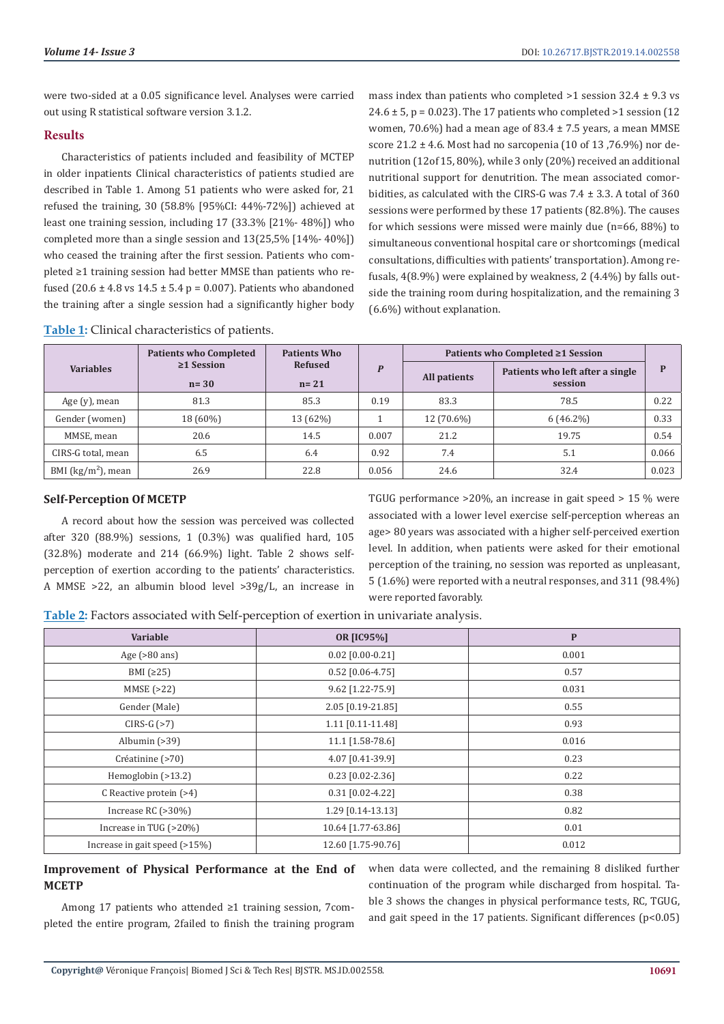were two-sided at a 0.05 significance level. Analyses were carried out using R statistical software version 3.1.2.

# **Results**

Characteristics of patients included and feasibility of MCTEP in older inpatients Clinical characteristics of patients studied are described in Table 1. Among 51 patients who were asked for, 21 refused the training, 30 (58.8% [95%CI: 44%-72%]) achieved at least one training session, including 17 (33.3% [21%- 48%]) who completed more than a single session and 13(25,5% [14%- 40%]) who ceased the training after the first session. Patients who completed ≥1 training session had better MMSE than patients who refused (20.6  $\pm$  4.8 vs 14.5  $\pm$  5.4 p = 0.007). Patients who abandoned the training after a single session had a significantly higher body mass index than patients who completed  $>1$  session 32.4  $\pm$  9.3 vs  $24.6 \pm 5$ , p = 0.023). The 17 patients who completed >1 session (12) women, 70.6%) had a mean age of 83.4  $\pm$  7.5 years, a mean MMSE score  $21.2 \pm 4.6$ . Most had no sarcopenia (10 of 13,76.9%) nor denutrition (12of 15, 80%), while 3 only (20%) received an additional nutritional support for denutrition. The mean associated comorbidities, as calculated with the CIRS-G was  $7.4 \pm 3.3$ . A total of 360 sessions were performed by these 17 patients (82.8%). The causes for which sessions were missed were mainly due (n=66, 88%) to simultaneous conventional hospital care or shortcomings (medical consultations, difficulties with patients' transportation). Among refusals, 4(8.9%) were explained by weakness, 2 (4.4%) by falls outside the training room during hospitalization, and the remaining 3 (6.6%) without explanation.

| <b>Table 1:</b> Clinical characteristics of patients. |  |  |
|-------------------------------------------------------|--|--|
|-------------------------------------------------------|--|--|

|                      | <b>Patients who Completed</b> | <b>Patients Who</b><br><b>Refused</b><br>$n = 21$ | $\boldsymbol{P}$ | Patients who Completed ≥1 Session |                                             |       |  |
|----------------------|-------------------------------|---------------------------------------------------|------------------|-----------------------------------|---------------------------------------------|-------|--|
| <b>Variables</b>     | $\geq$ 1 Session<br>$n=30$    |                                                   |                  | All patients                      | Patients who left after a single<br>session | P     |  |
| Age $(y)$ , mean     | 81.3                          | 85.3                                              | 0.19             | 83.3                              | 78.5                                        | 0.22  |  |
| Gender (women)       | 18 (60%)                      | 13 (62%)                                          |                  | 12 (70.6%)                        | $6(46.2\%)$                                 | 0.33  |  |
| MMSE, mean           | 20.6                          | 14.5                                              | 0.007            | 21.2                              | 19.75                                       | 0.54  |  |
| CIRS-G total, mean   | 6.5                           | 6.4                                               | 0.92             | 7.4                               | 5.1                                         | 0.066 |  |
| BMI $(kg/m2)$ , mean | 26.9                          | 22.8                                              | 0.056            | 24.6                              | 32.4                                        | 0.023 |  |

# **Self-Perception Of MCETP**

A record about how the session was perceived was collected after 320 (88.9%) sessions, 1 (0.3%) was qualified hard, 105 (32.8%) moderate and 214 (66.9%) light. Table 2 shows selfperception of exertion according to the patients' characteristics. A MMSE >22, an albumin blood level >39g/L, an increase in TGUG performance >20%, an increase in gait speed > 15 % were associated with a lower level exercise self-perception whereas an age> 80 years was associated with a higher self-perceived exertion level. In addition, when patients were asked for their emotional perception of the training, no session was reported as unpleasant, 5 (1.6%) were reported with a neutral responses, and 311 (98.4%) were reported favorably.

**Table 2:** Factors associated with Self-perception of exertion in univariate analysis.

| Variable                      | <b>OR [IC95%]</b>  | $\mathbf P$ |  |  |
|-------------------------------|--------------------|-------------|--|--|
| Age $(>80 \text{ ans})$       | $0.02$ [0.00-0.21] | 0.001       |  |  |
| BMI $(225)$                   | $0.52$ [0.06-4.75] | 0.57        |  |  |
| MMSE(>22)                     | 9.62 [1.22-75.9]   | 0.031       |  |  |
| Gender (Male)                 | 2.05 [0.19-21.85]  | 0.55        |  |  |
| $CIRS-G (>7)$                 | 1.11 [0.11-11.48]  | 0.93        |  |  |
| Albumin $(>39)$               | 11.1 [1.58-78.6]   | 0.016       |  |  |
| Créatinine (>70)              | 4.07 [0.41-39.9]   | 0.23        |  |  |
| Hemoglobin $(>13.2)$          | $0.23$ [0.02-2.36] | 0.22        |  |  |
| C Reactive protein $(>4)$     | $0.31$ [0.02-4.22] | 0.38        |  |  |
| Increase RC $(>30\%)$         | 1.29 [0.14-13.13]  | 0.82        |  |  |
| Increase in TUG (>20%)        | 10.64 [1.77-63.86] | 0.01        |  |  |
| Increase in gait speed (>15%) | 12.60 [1.75-90.76] | 0.012       |  |  |

# **Improvement of Physical Performance at the End of MCETP**

Among 17 patients who attended ≥1 training session, 7completed the entire program, 2failed to finish the training program when data were collected, and the remaining 8 disliked further continuation of the program while discharged from hospital. Table 3 shows the changes in physical performance tests, RC, TGUG, and gait speed in the 17 patients. Significant differences  $(p<0.05)$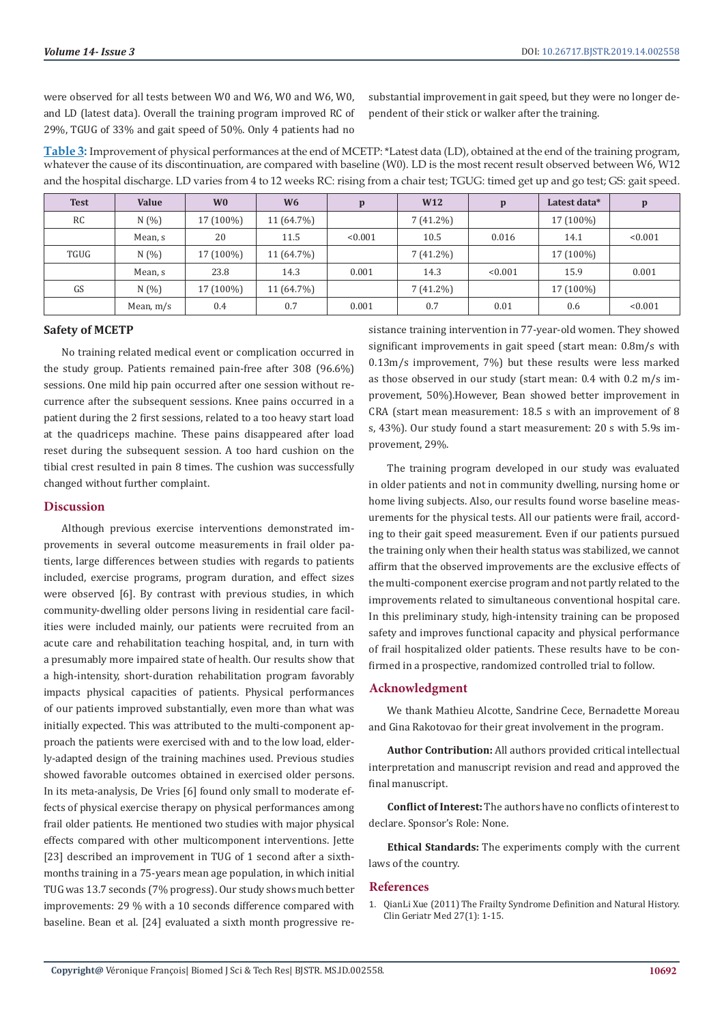were observed for all tests between W0 and W6, W0 and W6, W0, and LD (latest data). Overall the training program improved RC of 29%, TGUG of 33% and gait speed of 50%. Only 4 patients had no

substantial improvement in gait speed, but they were no longer dependent of their stick or walker after the training.

**Table 3:** Improvement of physical performances at the end of MCETP: \*Latest data (LD), obtained at the end of the training program, whatever the cause of its discontinuation, are compared with baseline (W0). LD is the most recent result observed between W6, W12 and the hospital discharge. LD varies from 4 to 12 weeks RC: rising from a chair test; TGUG: timed get up and go test; GS: gait speed.

| <b>Test</b> | Value       | W <sub>0</sub> | W <sub>6</sub> | p       | W <sub>12</sub> | $\mathbf{p}$ | Latest data* | p       |
|-------------|-------------|----------------|----------------|---------|-----------------|--------------|--------------|---------|
| RC          | N(%         | 17 (100%)      | 11 (64.7%)     |         | $7(41.2\%)$     |              | 17 (100%)    |         |
|             | Mean, s     | 20             | 11.5           | < 0.001 | 10.5            | 0.016        | 14.1         | < 0.001 |
| TGUG        | N(%         | 17 (100%)      | 11 (64.7%)     |         | $7(41.2\%)$     |              | 17 (100%)    |         |
|             | Mean, s     | 23.8           | 14.3           | 0.001   | 14.3            | < 0.001      | 15.9         | 0.001   |
| GS          | N(%         | 17 (100%)      | 11 (64.7%)     |         | $7(41.2\%)$     |              | 17 (100%)    |         |
|             | Mean, $m/s$ | 0.4            | 0.7            | 0.001   | 0.7             | 0.01         | 0.6          | < 0.001 |

#### **Safety of MCETP**

No training related medical event or complication occurred in the study group. Patients remained pain-free after 308 (96.6%) sessions. One mild hip pain occurred after one session without recurrence after the subsequent sessions. Knee pains occurred in a patient during the 2 first sessions, related to a too heavy start load at the quadriceps machine. These pains disappeared after load reset during the subsequent session. A too hard cushion on the tibial crest resulted in pain 8 times. The cushion was successfully changed without further complaint.

#### **Discussion**

Although previous exercise interventions demonstrated improvements in several outcome measurements in frail older patients, large differences between studies with regards to patients included, exercise programs, program duration, and effect sizes were observed [6]. By contrast with previous studies, in which community-dwelling older persons living in residential care facilities were included mainly, our patients were recruited from an acute care and rehabilitation teaching hospital, and, in turn with a presumably more impaired state of health. Our results show that a high-intensity, short-duration rehabilitation program favorably impacts physical capacities of patients. Physical performances of our patients improved substantially, even more than what was initially expected. This was attributed to the multi-component approach the patients were exercised with and to the low load, elderly-adapted design of the training machines used. Previous studies showed favorable outcomes obtained in exercised older persons. In its meta-analysis, De Vries [6] found only small to moderate effects of physical exercise therapy on physical performances among frail older patients. He mentioned two studies with major physical effects compared with other multicomponent interventions. Jette [23] described an improvement in TUG of 1 second after a sixthmonths training in a 75-years mean age population, in which initial TUG was 13.7 seconds (7% progress). Our study shows much better improvements: 29 % with a 10 seconds difference compared with baseline. Bean et al. [24] evaluated a sixth month progressive resistance training intervention in 77-year-old women. They showed significant improvements in gait speed (start mean: 0.8m/s with 0.13m/s improvement, 7%) but these results were less marked as those observed in our study (start mean: 0.4 with 0.2 m/s improvement, 50%).However, Bean showed better improvement in CRA (start mean measurement: 18.5 s with an improvement of 8 s, 43%). Our study found a start measurement: 20 s with 5.9s improvement, 29%.

The training program developed in our study was evaluated in older patients and not in community dwelling, nursing home or home living subjects. Also, our results found worse baseline measurements for the physical tests. All our patients were frail, according to their gait speed measurement. Even if our patients pursued the training only when their health status was stabilized, we cannot affirm that the observed improvements are the exclusive effects of the multi-component exercise program and not partly related to the improvements related to simultaneous conventional hospital care. In this preliminary study, high-intensity training can be proposed safety and improves functional capacity and physical performance of frail hospitalized older patients. These results have to be confirmed in a prospective, randomized controlled trial to follow.

# **Acknowledgment**

We thank Mathieu Alcotte, Sandrine Cece, Bernadette Moreau and Gina Rakotovao for their great involvement in the program.

**Author Contribution:** All authors provided critical intellectual interpretation and manuscript revision and read and approved the final manuscript.

**Conflict of Interest:** The authors have no conflicts of interest to declare. Sponsor's Role: None.

**Ethical Standards:** The experiments comply with the current laws of the country.

#### **References**

1. [QianLi Xue \(2011\) The Frailty Syndrome Definition and Natural History.](https://www.ncbi.nlm.nih.gov/pubmed/21093718) [Clin Geriatr Med 27\(1\): 1-15.](https://www.ncbi.nlm.nih.gov/pubmed/21093718)